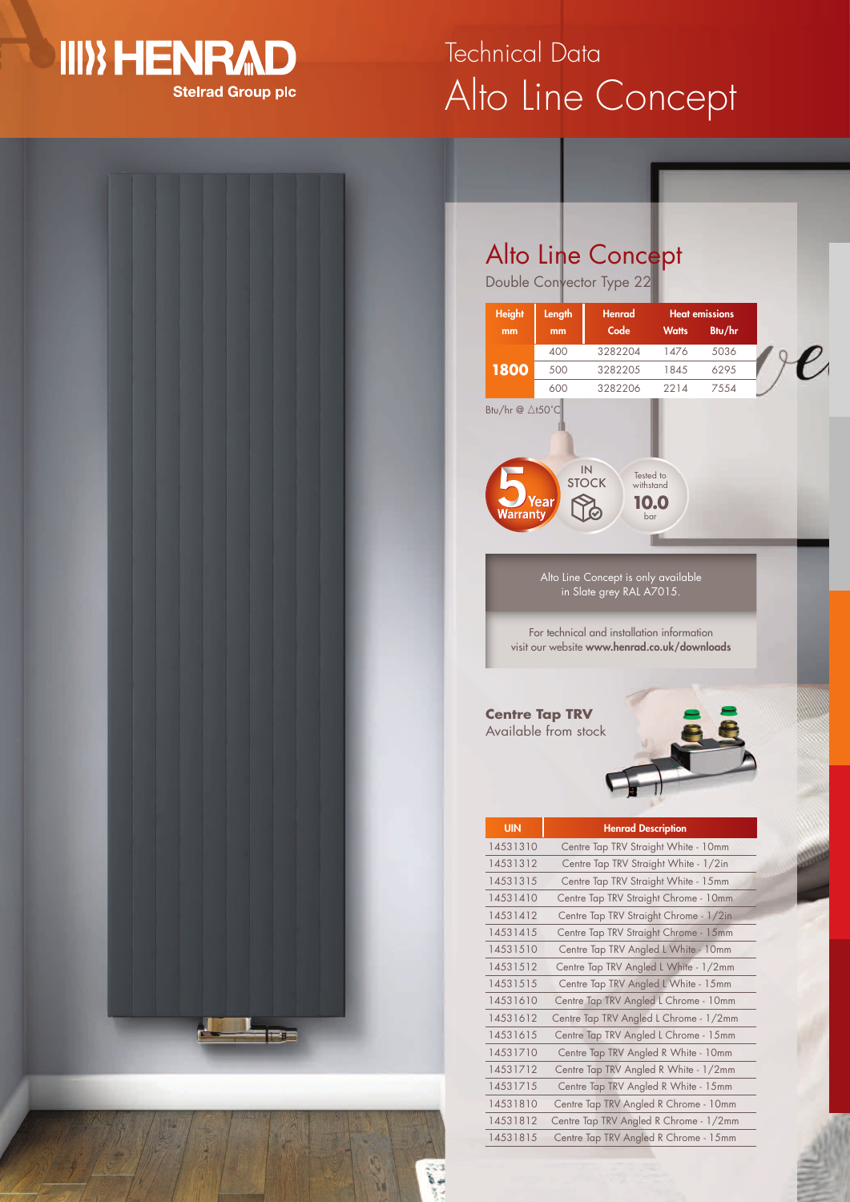### **III) HENRAD Stelrad Group plc**

**Tags** 

ā,

# Alto Line Concept Technical Data

### Alto Line Concept

Double Convector Type 22

|                                    | Length<br>mm | Henrad<br>Code                                                                             | <b>Heat emissions</b><br><b>Watts</b> | Btu/hr |  |
|------------------------------------|--------------|--------------------------------------------------------------------------------------------|---------------------------------------|--------|--|
|                                    | 400          | 3282204                                                                                    | 1476                                  | 5036   |  |
| 1800                               | 500          | 3282205                                                                                    | 1845                                  | 6295   |  |
|                                    | 600          | 3282206                                                                                    | 2214                                  | 7554   |  |
| Btu/hr @ ∆t50°C                    |              | IN<br>Tested to<br><b>STOCK</b><br>withstand                                               |                                       |        |  |
| Warranty                           | <b>Year</b>  | bar                                                                                        | 0.0                                   |        |  |
|                                    |              | Alto Line Concept is only available<br>in Slate grey RAL A7015.                            |                                       |        |  |
|                                    |              | For technical and installation information<br>visit our website www.henrad.co.uk/downloads |                                       |        |  |
|                                    |              |                                                                                            |                                       |        |  |
| <b>Centre Tap TRV</b>              |              |                                                                                            |                                       |        |  |
|                                    |              |                                                                                            |                                       |        |  |
| Available from stock<br><b>UIN</b> |              | <b>Henrad Description</b>                                                                  |                                       |        |  |
| 14531310                           |              | Centre Tap TRV Straight White - 10mm                                                       |                                       |        |  |
| 14531312                           |              | Centre Tap TRV Straight White - 1/2in                                                      |                                       |        |  |
| 14531315                           |              | Centre Tap TRV Straight White - 15mm                                                       |                                       |        |  |
| 14531410                           |              | Centre Tap TRV Straight Chrome - 10mm                                                      |                                       |        |  |
| 14531412                           |              | Centre Tap TRV Straight Chrome - 1/2in                                                     |                                       |        |  |
| 14531415                           |              | Centre Tap TRV Straight Chrome - 15mm                                                      |                                       |        |  |
| 14531510                           |              | Centre Tap TRV Angled L White - 10mm                                                       |                                       |        |  |
| 14531512                           |              | Centre Tap TRV Angled L White - 1/2mm                                                      |                                       |        |  |
| 14531515                           |              | Centre Tap TRV Angled L White - 15mm                                                       |                                       |        |  |
| 14531610                           |              | Centre Tap TRV Angled L Chrome - 10mm                                                      |                                       |        |  |
| 14531612                           |              | Centre Tap TRV Angled L Chrome - 1/2mm                                                     |                                       |        |  |
| 14531615                           |              | Centre Tap TRV Angled L Chrome - 15mm                                                      |                                       |        |  |
| 14531710                           |              | Centre Tap TRV Angled R White - 10mm                                                       |                                       |        |  |
| 14531712                           |              | Centre Tap TRV Angled R White - 1/2mm                                                      |                                       |        |  |
| 14531715                           |              | Centre Tap TRV Angled R White - 15mm                                                       |                                       |        |  |
| 14531810<br>14531812               |              | Centre Tap TRV Angled R Chrome - 10mm<br>Centre Tap TRV Angled R Chrome - 1/2mm            |                                       |        |  |